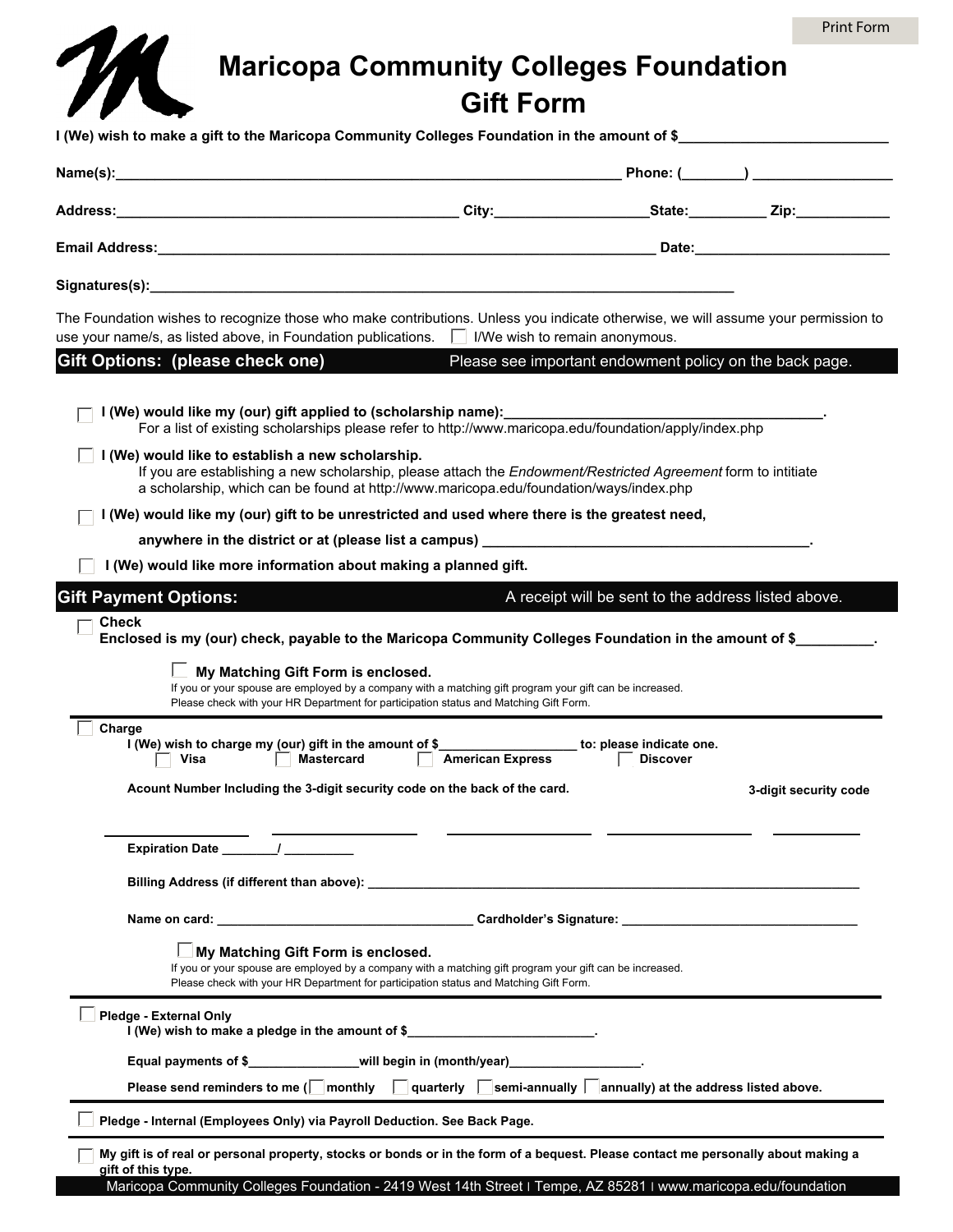

## **Maricopa Community Colleges Foundation Gift Form**

|                                                                                  | The Foundation wishes to recognize those who make contributions. Unless you indicate otherwise, we will assume your permission to<br>use your name/s, as listed above, in Foundation publications. $\Box$ I/We wish to remain anonymous.                                                                                                          |
|----------------------------------------------------------------------------------|---------------------------------------------------------------------------------------------------------------------------------------------------------------------------------------------------------------------------------------------------------------------------------------------------------------------------------------------------|
| Gift Options: (please check one)                                                 | Please see important endowment policy on the back page.                                                                                                                                                                                                                                                                                           |
| I (We) would like my (our) gift applied to (scholarship name):__________________ | For a list of existing scholarships please refer to http://www.maricopa.edu/foundation/apply/index.php                                                                                                                                                                                                                                            |
| I (We) would like to establish a new scholarship.                                | If you are establishing a new scholarship, please attach the Endowment/Restricted Agreement form to intitiate<br>a scholarship, which can be found at http://www.maricopa.edu/foundation/ways/index.php                                                                                                                                           |
|                                                                                  | I (We) would like my (our) gift to be unrestricted and used where there is the greatest need,                                                                                                                                                                                                                                                     |
|                                                                                  |                                                                                                                                                                                                                                                                                                                                                   |
| I (We) would like more information about making a planned gift.                  |                                                                                                                                                                                                                                                                                                                                                   |
| <b>Gift Payment Options:</b><br>Check                                            | A receipt will be sent to the address listed above.<br>Enclosed is my (our) check, payable to the Maricopa Community Colleges Foundation in the amount of \$                                                                                                                                                                                      |
| My Matching Gift Form is enclosed.<br>Charge<br><b>Mastercard</b><br>Visa        | If you or your spouse are employed by a company with a matching gift program your gift can be increased.<br>Please check with your HR Department for participation status and Matching Gift Form.<br>I (We) wish to charge my (our) gift in the amount of \$_____________________ to: please indicate one.<br>American Express<br><b>Discover</b> |
| Acount Number Including the 3-digit security code on the back of the card.       | 3-digit security code                                                                                                                                                                                                                                                                                                                             |
| Expiration Date /                                                                |                                                                                                                                                                                                                                                                                                                                                   |
| Billing Address (if different than above): _                                     |                                                                                                                                                                                                                                                                                                                                                   |
|                                                                                  |                                                                                                                                                                                                                                                                                                                                                   |
| $\Box$ My Matching Gift Form is enclosed.                                        | If you or your spouse are employed by a company with a matching gift program your gift can be increased.<br>Please check with your HR Department for participation status and Matching Gift Form.                                                                                                                                                 |
| Pledge - External Only<br>I (We) wish to make a pledge in the amount of \$       |                                                                                                                                                                                                                                                                                                                                                   |
| Equal payments of \$_________________will begin in (month/year)_____________     |                                                                                                                                                                                                                                                                                                                                                   |
|                                                                                  | Please send reminders to me ( $\Box$ monthly $\Box$ quarterly $\Box$ semi-annually $\Box$ annually) at the address listed above.                                                                                                                                                                                                                  |